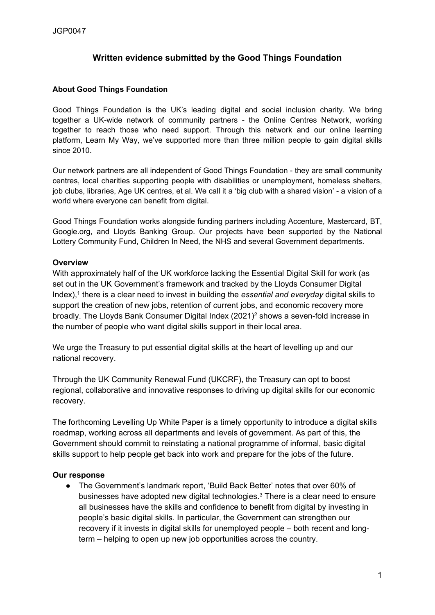# **Written evidence submitted by the Good Things Foundation**

## **About Good Things Foundation**

Good Things Foundation is the UK's leading digital and social inclusion charity. We bring together a UK-wide network of community partners - the Online Centres Network, working together to reach those who need support. Through this network and our online learning platform, Learn My Way, we've supported more than three million people to gain digital skills since 2010.

Our network partners are all independent of Good Things Foundation - they are small community centres, local charities supporting people with disabilities or unemployment, homeless shelters, job clubs, libraries, Age UK centres, et al. We call it a 'big club with a shared vision' - a vision of a world where everyone can benefit from digital.

Good Things Foundation works alongside funding partners including Accenture, Mastercard, BT, Google.org, and Lloyds Banking Group. Our projects have been supported by the National Lottery Community Fund, Children In Need, the NHS and several Government departments.

#### **Overview**

With approximately half of the UK workforce lacking the Essential Digital Skill for work (as set out in the UK Government's framework and tracked by the Lloyds Consumer Digital Index),<sup>1</sup> there is a clear need to invest in building the *essential and everyday* digital skills to support the creation of new jobs, retention of current jobs, and economic recovery more broadly. The Lloyds Bank Consumer Digital Index (2021)<sup>2</sup> shows a seven-fold increase in the number of people who want digital skills support in their local area.

We urge the Treasury to put essential digital skills at the heart of levelling up and our national recovery.

Through the UK Community Renewal Fund (UKCRF), the Treasury can opt to boost regional, collaborative and innovative responses to driving up digital skills for our economic recovery.

The forthcoming Levelling Up White Paper is a timely opportunity to introduce a digital skills roadmap, working across all departments and levels of government. As part of this, the Government should commit to reinstating a national programme of informal, basic digital skills support to help people get back into work and prepare for the jobs of the future.

## **Our response**

● The Government's landmark report, 'Build Back Better' notes that over 60% of businesses have adopted new digital technologies.<sup>3</sup> There is a clear need to ensure all businesses have the skills and confidence to benefit from digital by investing in people's basic digital skills. In particular, the Government can strengthen our recovery if it invests in digital skills for unemployed people – both recent and longterm – helping to open up new job opportunities across the country.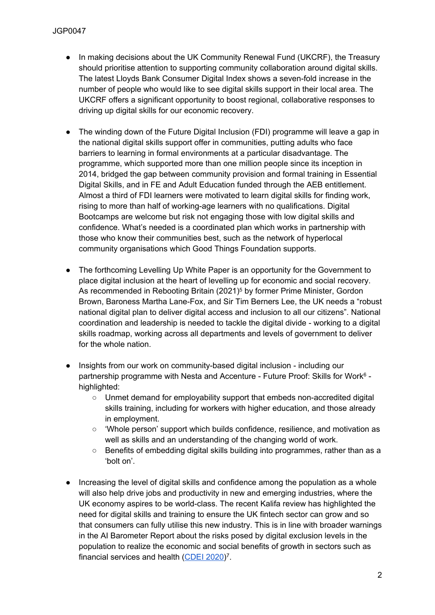- In making decisions about the UK Community Renewal Fund (UKCRF), the Treasury should prioritise attention to supporting community collaboration around digital skills. The latest Lloyds Bank Consumer Digital Index shows a seven-fold increase in the number of people who would like to see digital skills support in their local area. The UKCRF offers a significant opportunity to boost regional, collaborative responses to driving up digital skills for our economic recovery.
- The winding down of the Future Digital Inclusion (FDI) programme will leave a gap in the national digital skills support offer in communities, putting adults who face barriers to learning in formal environments at a particular disadvantage. The programme, which supported more than one million people since its inception in 2014, bridged the gap between community provision and formal training in Essential Digital Skills, and in FE and Adult Education funded through the AEB entitlement. Almost a third of FDI learners were motivated to learn digital skills for finding work, rising to more than half of working-age learners with no qualifications. Digital Bootcamps are welcome but risk not engaging those with low digital skills and confidence. What's needed is a coordinated plan which works in partnership with those who know their communities best, such as the network of hyperlocal community organisations which Good Things Foundation supports.
- The forthcoming Levelling Up White Paper is an opportunity for the Government to place digital inclusion at the heart of levelling up for economic and social recovery. As recommended in Rebooting Britain (2021)<sup>5</sup> by former Prime Minister, Gordon Brown, Baroness Martha Lane-Fox, and Sir Tim Berners Lee, the UK needs a "robust national digital plan to deliver digital access and inclusion to all our citizens". National coordination and leadership is needed to tackle the digital divide - working to a digital skills roadmap, working across all departments and levels of government to deliver for the whole nation.
- Insights from our work on community-based digital inclusion including our partnership programme with Nesta and Accenture - Future Proof: Skills for Work<sup>6</sup> highlighted:
	- Unmet demand for employability support that embeds non-accredited digital skills training, including for workers with higher education, and those already in employment.
	- 'Whole person' support which builds confidence, resilience, and motivation as well as skills and an understanding of the changing world of work.
	- Benefits of embedding digital skills building into programmes, rather than as a 'bolt on'.
- Increasing the level of digital skills and confidence among the population as a whole will also help drive jobs and productivity in new and emerging industries, where the UK economy aspires to be world-class. The recent Kalifa review has highlighted the need for digital skills and training to ensure the UK fintech sector can grow and so that consumers can fully utilise this new industry. This is in line with broader warnings in the AI Barometer Report about the risks posed by digital exclusion levels in the population to realize the economic and social benefits of growth in sectors such as financial services and health ([CDEI](https://assets.publishing.service.gov.uk/government/uploads/system/uploads/attachment_data/file/894170/CDEI_AI_Barometer.pdf) [2020\)](https://assets.publishing.service.gov.uk/government/uploads/system/uploads/attachment_data/file/894170/CDEI_AI_Barometer.pdf)<sup>7</sup>.